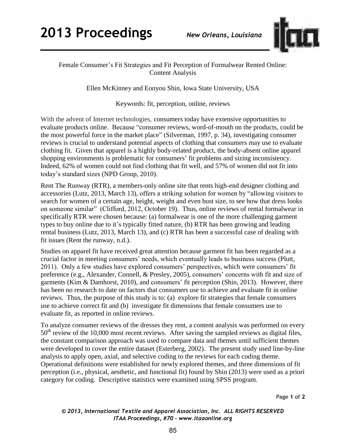

## Female Consumer's Fit Strategies and Fit Perception of Formalwear Rented Online: Content Analysis

Ellen McKinney and Eonyou Shin, Iowa State University, USA

Keywords: fit, perception, online, reviews

With the advent of Internet technologies, consumers today have extensive opportunities to evaluate products online. Because "consumer reviews, word-of-mouth on the products, could be the most powerful force in the market place" (Silverman, 1997, p. 34), investigating consumer reviews is crucial to understand potential aspects of clothing that consumers may use to evaluate clothing fit. Given that apparel is a highly body-related product, the body-absent online apparel shopping environments is problematic for consumers' fit problems and sizing inconsistency. Indeed, 62% of women could not find clothing that fit well, and 57% of women did not fit into today's standard sizes (NPD Group, 2010).

Rent The Runway (RTR), a members-only online site that rents high-end designer clothing and accessories (Lutz, 2013, March 13), offers a striking solution for women by "allowing visitors to search for women of a certain age, height, weight and even bust size, to see how that dress looks on someone similar" (Clifford, 2012, October 19). Thus, online reviews of rental formalwear in specifically RTR were chosen because: (a) formalwear is one of the more challenging garment types to buy online due to it's typically fitted nature, (b) RTR has been growing and leading rental business (Lutz, 2013, March 13), and (c) RTR has been a successful case of dealing with fit issues (Rent the runway, n.d.).

Studies on apparel fit have received great attention because garment fit has been regarded as a crucial factor in meeting consumers' needs, which eventually leads to business success (Plutt, 2011). Only a few studies have explored consumers' perspectives, which were consumers' fit preference (e.g., Alexander, Connell, & Presley, 2005), consumers' concerns with fit and size of garments (Kim & Damhorst, 2010), and consumers' fit perception (Shin, 2013). However, there has been no research to date on factors that consumers use to achieve and evaluate fit in online reviews. Thus, the purpose of this study is to: (a) explore fit strategies that female consumers use to achieve correct fit and (b) investigate fit dimensions that female consumers use to evaluate fit, as reported in online reviews.

To analyze consumer reviews of the dresses they rent, a content analysis was performed on every  $50<sup>th</sup>$  review of the 10,000 most recent reviews. After saving the sampled reviews as digital files, the constant comparison approach was used to compare data and themes until sufficient themes were developed to cover the entire dataset (Esterberg, 2002). The present study used line-by-line analysis to apply open, axial, and selective coding to the reviews for each coding theme. Operational definitions were established for newly explored themes, and three dimensions of fit perception (i.e., physical, aesthetic, and functional fit) found by Shin (2013) were used as a priori category for coding. Descriptive statistics were examined using SPSS program.

Page **1** of **2** 

*© 2013, International Textile and Apparel Association, Inc. ALL RIGHTS RESERVED ITAA Proceedings, #70 – www.itaaonline.org*